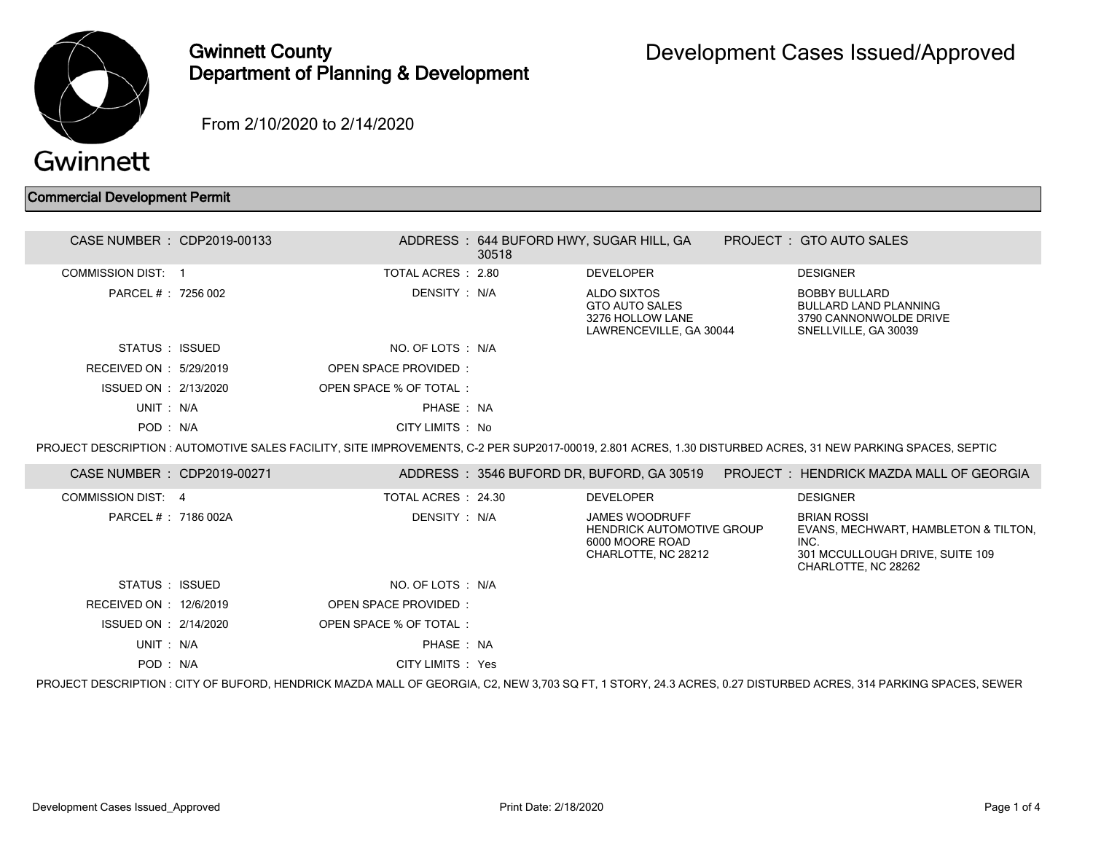

# Gwinnett County Department of Planning & Development

From 2/10/2020 to 2/14/2020

## Commercial Development Permit

| CASE NUMBER : CDP2019-00133 |                             | 30518 | ADDRESS: 644 BUFORD HWY, SUGAR HILL, GA                                                             | PROJECT: GTO AUTO SALES                                                                                                                                         |
|-----------------------------|-----------------------------|-------|-----------------------------------------------------------------------------------------------------|-----------------------------------------------------------------------------------------------------------------------------------------------------------------|
| <b>COMMISSION DIST: 1</b>   | TOTAL ACRES : 2.80          |       | <b>DEVELOPER</b>                                                                                    | <b>DESIGNER</b>                                                                                                                                                 |
| PARCEL # : 7256 002         | DENSITY: N/A                |       | ALDO SIXTOS<br><b>GTO AUTO SALES</b><br>3276 HOLLOW LANE<br>LAWRENCEVILLE, GA 30044                 | <b>BOBBY BULLARD</b><br><b>BULLARD LAND PLANNING</b><br>3790 CANNONWOLDE DRIVE<br>SNELLVILLE, GA 30039                                                          |
| STATUS : ISSUED             | NO. OF LOTS : N/A           |       |                                                                                                     |                                                                                                                                                                 |
| RECEIVED ON : 5/29/2019     | <b>OPEN SPACE PROVIDED:</b> |       |                                                                                                     |                                                                                                                                                                 |
| ISSUED ON : 2/13/2020       | OPEN SPACE % OF TOTAL:      |       |                                                                                                     |                                                                                                                                                                 |
| UNIT: N/A                   | PHASE: NA                   |       |                                                                                                     |                                                                                                                                                                 |
| POD: N/A                    | CITY LIMITS : No            |       |                                                                                                     |                                                                                                                                                                 |
|                             |                             |       |                                                                                                     | PROJECT DESCRIPTION : AUTOMOTIVE SALES FACILITY, SITE IMPROVEMENTS, C-2 PER SUP2017-00019, 2.801 ACRES, 1.30 DISTURBED ACRES, 31 NEW PARKING SPACES, SEPTIC     |
| CASE NUMBER : CDP2019-00271 |                             |       |                                                                                                     | ADDRESS: 3546 BUFORD DR, BUFORD, GA 30519 PROJECT: HENDRICK MAZDA MALL OF GEORGIA                                                                               |
| <b>COMMISSION DIST: 4</b>   | TOTAL ACRES : 24.30         |       | <b>DEVELOPER</b>                                                                                    | <b>DESIGNER</b>                                                                                                                                                 |
| PARCEL #: 7186 002A         | DENSITY: N/A                |       | <b>JAMES WOODRUFF</b><br><b>HENDRICK AUTOMOTIVE GROUP</b><br>6000 MOORE ROAD<br>CHARLOTTE, NC 28212 | <b>BRIAN ROSSI</b><br>EVANS, MECHWART, HAMBLETON & TILTON,<br>INC.<br>301 MCCULLOUGH DRIVE, SUITE 109<br>CHARLOTTE, NC 28262                                    |
| STATUS : ISSUED             | NO. OF LOTS : N/A           |       |                                                                                                     |                                                                                                                                                                 |
| RECEIVED ON : 12/6/2019     | OPEN SPACE PROVIDED:        |       |                                                                                                     |                                                                                                                                                                 |
| ISSUED ON : 2/14/2020       | OPEN SPACE % OF TOTAL:      |       |                                                                                                     |                                                                                                                                                                 |
| UNIT: N/A                   | PHASE: NA                   |       |                                                                                                     |                                                                                                                                                                 |
| POD: N/A                    | CITY LIMITS : Yes           |       |                                                                                                     |                                                                                                                                                                 |
|                             |                             |       |                                                                                                     | PROJECT DESCRIPTION : CITY OF BUFORD, HENDRICK MAZDA MALL OF GEORGIA, C2, NEW 3,703 SQ FT, 1 STORY, 24.3 ACRES, 0.27 DISTURBED ACRES, 314 PARKING SPACES, SEWER |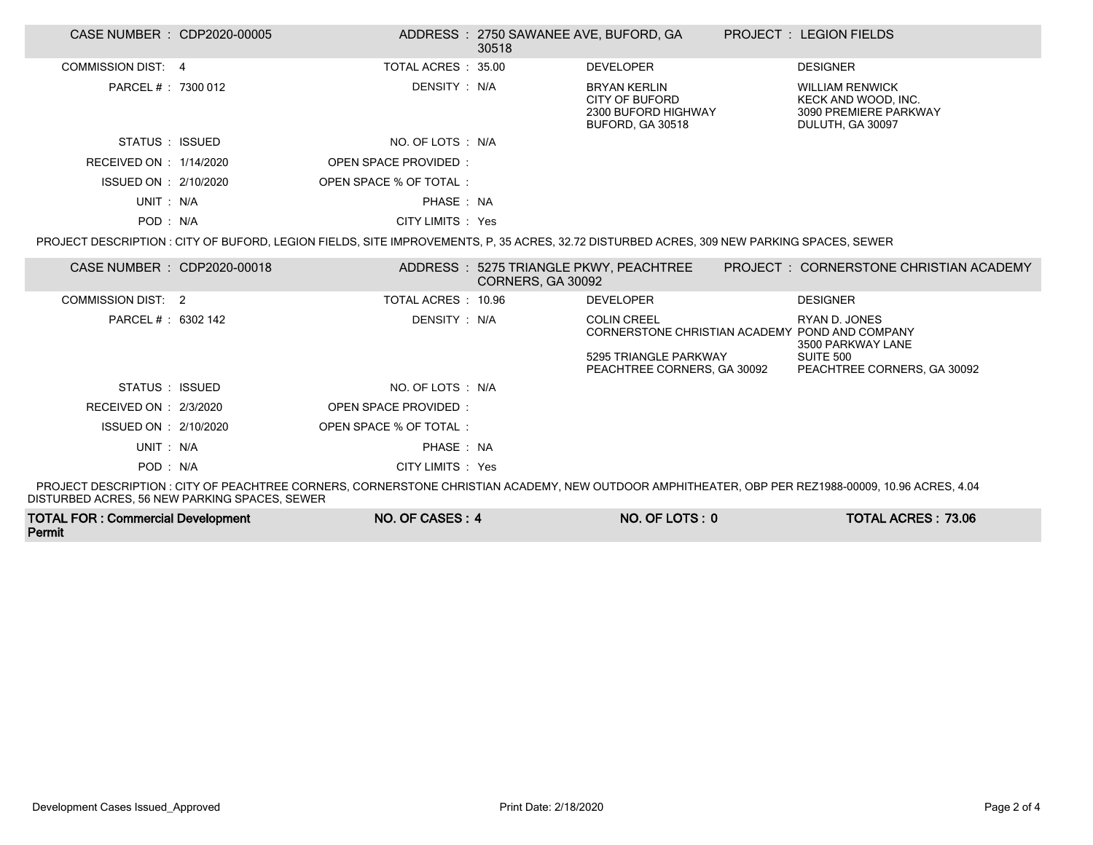| CASE NUMBER : CDP2020-00005                   |                                                                                                                                           | ADDRESS: 2750 SAWANEE AVE, BUFORD, GA<br>30518 |                                                                                                | <b>PROJECT : LEGION FIELDS</b>                                                                                                                     |
|-----------------------------------------------|-------------------------------------------------------------------------------------------------------------------------------------------|------------------------------------------------|------------------------------------------------------------------------------------------------|----------------------------------------------------------------------------------------------------------------------------------------------------|
| COMMISSION DIST: 4                            | TOTAL ACRES : 35.00                                                                                                                       |                                                | <b>DEVELOPER</b>                                                                               | <b>DESIGNER</b>                                                                                                                                    |
| PARCEL # : 7300 012                           | DENSITY : N/A                                                                                                                             |                                                | <b>BRYAN KERLIN</b><br><b>CITY OF BUFORD</b><br>2300 BUFORD HIGHWAY<br><b>BUFORD, GA 30518</b> | <b>WILLIAM RENWICK</b><br>KECK AND WOOD. INC.<br>3090 PREMIERE PARKWAY<br>DULUTH, GA 30097                                                         |
| STATUS : ISSUED                               | NO. OF LOTS : N/A                                                                                                                         |                                                |                                                                                                |                                                                                                                                                    |
| RECEIVED ON : 1/14/2020                       | <b>OPEN SPACE PROVIDED:</b>                                                                                                               |                                                |                                                                                                |                                                                                                                                                    |
| ISSUED ON : 2/10/2020                         | OPEN SPACE % OF TOTAL:                                                                                                                    |                                                |                                                                                                |                                                                                                                                                    |
| UNIT: N/A                                     | PHASE: NA                                                                                                                                 |                                                |                                                                                                |                                                                                                                                                    |
| POD: N/A                                      | CITY LIMITS : Yes                                                                                                                         |                                                |                                                                                                |                                                                                                                                                    |
|                                               | PROJECT DESCRIPTION : CITY OF BUFORD, LEGION FIELDS, SITE IMPROVEMENTS, P, 35 ACRES, 32.72 DISTURBED ACRES, 309 NEW PARKING SPACES, SEWER |                                                |                                                                                                |                                                                                                                                                    |
| CASE NUMBER : CDP2020-00018                   |                                                                                                                                           | CORNERS, GA 30092                              | ADDRESS: 5275 TRIANGLE PKWY, PEACHTREE                                                         | PROJECT : CORNERSTONE CHRISTIAN ACADEMY                                                                                                            |
| <b>COMMISSION DIST: 2</b>                     | TOTAL ACRES : 10.96                                                                                                                       |                                                | <b>DEVELOPER</b>                                                                               | <b>DESIGNER</b>                                                                                                                                    |
| PARCEL # : 6302 142                           | DENSITY : N/A                                                                                                                             |                                                | <b>COLIN CREEL</b><br>CORNERSTONE CHRISTIAN ACADEMY POND AND COMPANY                           | RYAN D. JONES<br>3500 PARKWAY LANE                                                                                                                 |
|                                               |                                                                                                                                           |                                                | 5295 TRIANGLE PARKWAY<br>PEACHTREE CORNERS, GA 30092                                           | SUITE 500<br>PEACHTREE CORNERS, GA 30092                                                                                                           |
| STATUS : ISSUED                               | NO. OF LOTS: N/A                                                                                                                          |                                                |                                                                                                |                                                                                                                                                    |
| RECEIVED ON : 2/3/2020                        | OPEN SPACE PROVIDED:                                                                                                                      |                                                |                                                                                                |                                                                                                                                                    |
| ISSUED ON : 2/10/2020                         | OPEN SPACE % OF TOTAL:                                                                                                                    |                                                |                                                                                                |                                                                                                                                                    |
| UNIT: N/A                                     | PHASE: NA                                                                                                                                 |                                                |                                                                                                |                                                                                                                                                    |
| POD: N/A                                      | CITY LIMITS : Yes                                                                                                                         |                                                |                                                                                                |                                                                                                                                                    |
| DISTURBED ACRES, 56 NEW PARKING SPACES, SEWER |                                                                                                                                           |                                                |                                                                                                | PROJECT DESCRIPTION : CITY OF PEACHTREE CORNERS, CORNERSTONE CHRISTIAN ACADEMY, NEW OUTDOOR AMPHITHEATER, OBP PER REZ1988-00009, 10.96 ACRES, 4.04 |

| <b>TOTAL FOR: Commercial Development</b> | NO. OF CASES: 4 | NO. OF LOTS: 0 | <b>TOTAL ACRES: 73.06</b> |
|------------------------------------------|-----------------|----------------|---------------------------|
| Permit                                   |                 |                |                           |

Г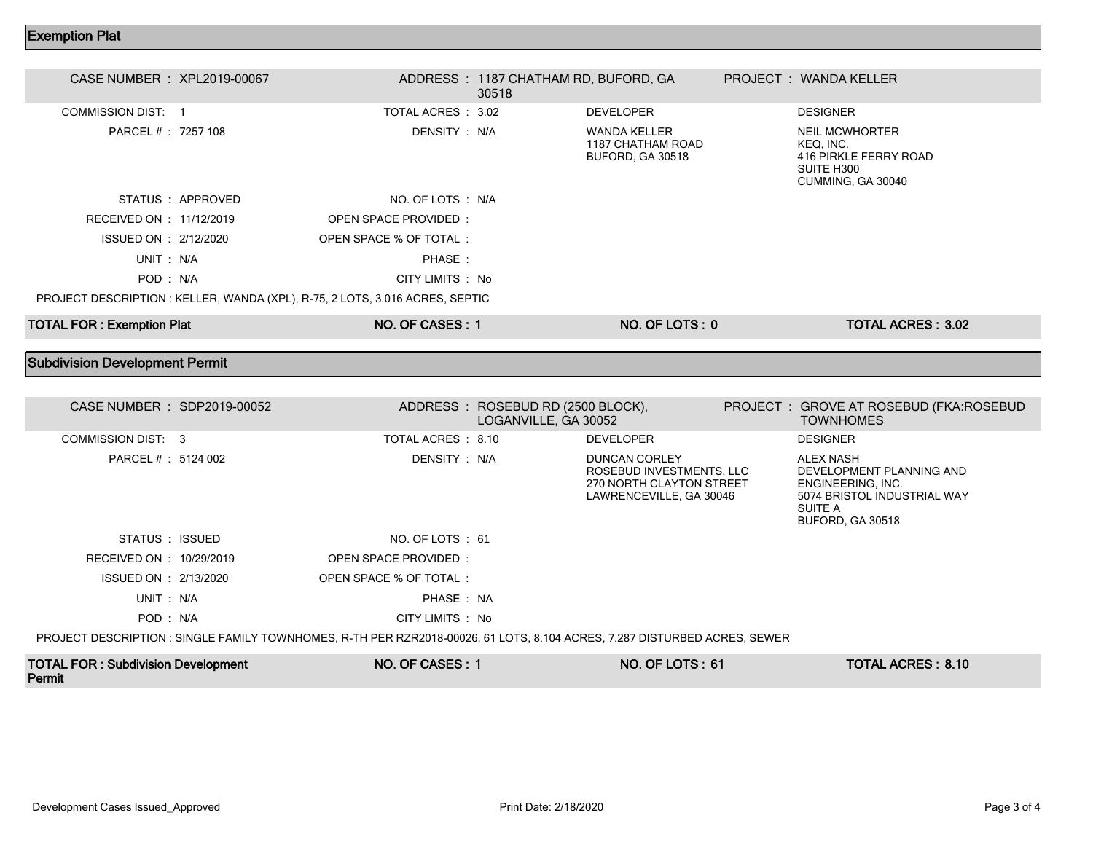#### Exemption Plat

| CASE NUMBER : XPL2019-00067      |                 |                                                                              | ADDRESS: 1187 CHATHAM RD, BUFORD, GA<br>30518 |                                                              | PROJECT : WANDA KELLER                                                                         |
|----------------------------------|-----------------|------------------------------------------------------------------------------|-----------------------------------------------|--------------------------------------------------------------|------------------------------------------------------------------------------------------------|
| COMMISSION DIST: 1               |                 | TOTAL ACRES : 3.02                                                           |                                               | <b>DEVELOPER</b>                                             | <b>DESIGNER</b>                                                                                |
| PARCEL # : 7257 108              |                 | DENSITY : N/A                                                                |                                               | <b>WANDA KELLER</b><br>1187 CHATHAM ROAD<br>BUFORD, GA 30518 | <b>NEIL MCWHORTER</b><br>KEQ, INC.<br>416 PIRKLE FERRY ROAD<br>SUITE H300<br>CUMMING, GA 30040 |
|                                  | STATUS APPROVED | NO. OF LOTS : N/A                                                            |                                               |                                                              |                                                                                                |
| RECEIVED ON : 11/12/2019         |                 | OPEN SPACE PROVIDED:                                                         |                                               |                                                              |                                                                                                |
| ISSUED ON : 2/12/2020            |                 | OPEN SPACE % OF TOTAL:                                                       |                                               |                                                              |                                                                                                |
| UNIT: N/A                        |                 | PHASE:                                                                       |                                               |                                                              |                                                                                                |
| POD: N/A                         |                 | CITY LIMITS : No                                                             |                                               |                                                              |                                                                                                |
|                                  |                 | PROJECT DESCRIPTION : KELLER, WANDA (XPL), R-75, 2 LOTS, 3.016 ACRES, SEPTIC |                                               |                                                              |                                                                                                |
| <b>TOTAL FOR: Exemption Plat</b> |                 | NO. OF CASES: 1                                                              |                                               | NO. OF LOTS: 0                                               | <b>TOTAL ACRES: 3.02</b>                                                                       |

### Subdivision Development Permit

| CASE NUMBER : SDP2019-00052 |                                                                                                                           | ADDRESS : ROSEBUD RD (2500 BLOCK),<br>LOGANVILLE, GA 30052 |                                                                                                         | PROJECT : GROVE AT ROSEBUD (FKA:ROSEBUD<br><b>TOWNHOMES</b>                                                                            |
|-----------------------------|---------------------------------------------------------------------------------------------------------------------------|------------------------------------------------------------|---------------------------------------------------------------------------------------------------------|----------------------------------------------------------------------------------------------------------------------------------------|
| COMMISSION DIST: 3          | TOTAL ACRES : 8.10                                                                                                        |                                                            | <b>DEVELOPER</b>                                                                                        | <b>DESIGNER</b>                                                                                                                        |
| PARCEL # : 5124 002         | DENSITY: N/A                                                                                                              |                                                            | <b>DUNCAN CORLEY</b><br>ROSEBUD INVESTMENTS, LLC<br>270 NORTH CLAYTON STREET<br>LAWRENCEVILLE, GA 30046 | <b>ALEX NASH</b><br>DEVELOPMENT PLANNING AND<br>ENGINEERING, INC.<br>5074 BRISTOL INDUSTRIAL WAY<br>SUITE A<br><b>BUFORD, GA 30518</b> |
| STATUS : ISSUED             | NO. OF LOTS : 61                                                                                                          |                                                            |                                                                                                         |                                                                                                                                        |
| RECEIVED ON : 10/29/2019    | OPEN SPACE PROVIDED:                                                                                                      |                                                            |                                                                                                         |                                                                                                                                        |
| ISSUED ON : 2/13/2020       | OPEN SPACE % OF TOTAL:                                                                                                    |                                                            |                                                                                                         |                                                                                                                                        |
| UNIT: N/A                   | PHASE: NA                                                                                                                 |                                                            |                                                                                                         |                                                                                                                                        |
| POD: N/A                    | CITY LIMITS : No                                                                                                          |                                                            |                                                                                                         |                                                                                                                                        |
|                             | PROJECT DESCRIPTION : SINGLE FAMILY TOWNHOMES, R-TH PER RZR2018-00026, 61 LOTS, 8.104 ACRES, 7.287 DISTURBED ACRES, SEWER |                                                            |                                                                                                         |                                                                                                                                        |
|                             |                                                                                                                           |                                                            |                                                                                                         |                                                                                                                                        |

| <b>TOTAL FOR: Subdivision Development</b> | NO. OF CASES: | NO. OF LOTS: 61 | <b>TOTAL ACRES: 8.10</b> |
|-------------------------------------------|---------------|-----------------|--------------------------|
| Permit                                    |               |                 |                          |